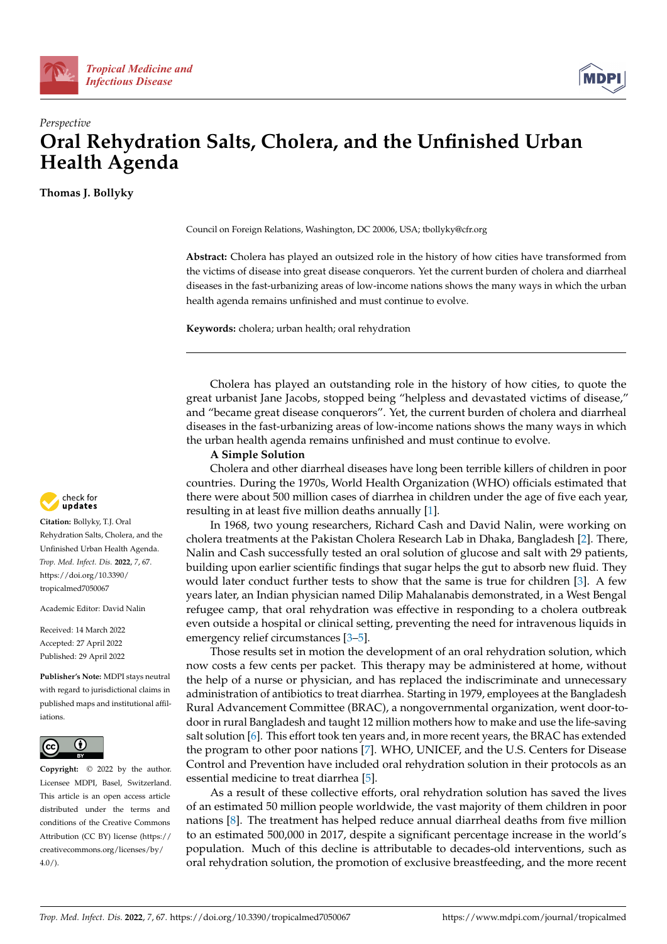



# *Perspective* **Oral Rehydration Salts, Cholera, and the Unfinished Urban Health Agenda**

**Thomas J. Bollyky**

Council on Foreign Relations, Washington, DC 20006, USA; tbollyky@cfr.org

**Abstract:** Cholera has played an outsized role in the history of how cities have transformed from the victims of disease into great disease conquerors. Yet the current burden of cholera and diarrheal diseases in the fast-urbanizing areas of low-income nations shows the many ways in which the urban health agenda remains unfinished and must continue to evolve.

**Keywords:** cholera; urban health; oral rehydration

Cholera has played an outstanding role in the history of how cities, to quote the great urbanist Jane Jacobs, stopped being "helpless and devastated victims of disease," and "became great disease conquerors". Yet, the current burden of cholera and diarrheal diseases in the fast-urbanizing areas of low-income nations shows the many ways in which the urban health agenda remains unfinished and must continue to evolve.

#### **A Simple Solution**

Cholera and other diarrheal diseases have long been terrible killers of children in poor countries. During the 1970s, World Health Organization (WHO) officials estimated that there were about 500 million cases of diarrhea in children under the age of five each year, resulting in at least five million deaths annually [\[1\]](#page-3-0).

In 1968, two young researchers, Richard Cash and David Nalin, were working on cholera treatments at the Pakistan Cholera Research Lab in Dhaka, Bangladesh [\[2\]](#page-3-1). There, Nalin and Cash successfully tested an oral solution of glucose and salt with 29 patients, building upon earlier scientific findings that sugar helps the gut to absorb new fluid. They would later conduct further tests to show that the same is true for children [\[3\]](#page-3-2). A few years later, an Indian physician named Dilip Mahalanabis demonstrated, in a West Bengal refugee camp, that oral rehydration was effective in responding to a cholera outbreak even outside a hospital or clinical setting, preventing the need for intravenous liquids in emergency relief circumstances [\[3–](#page-3-2)[5\]](#page-3-3).

Those results set in motion the development of an oral rehydration solution, which now costs a few cents per packet. This therapy may be administered at home, without the help of a nurse or physician, and has replaced the indiscriminate and unnecessary administration of antibiotics to treat diarrhea. Starting in 1979, employees at the Bangladesh Rural Advancement Committee (BRAC), a nongovernmental organization, went door-todoor in rural Bangladesh and taught 12 million mothers how to make and use the life-saving salt solution [\[6\]](#page-3-4). This effort took ten years and, in more recent years, the BRAC has extended the program to other poor nations [\[7\]](#page-3-5). WHO, UNICEF, and the U.S. Centers for Disease Control and Prevention have included oral rehydration solution in their protocols as an essential medicine to treat diarrhea [\[5\]](#page-3-3).

As a result of these collective efforts, oral rehydration solution has saved the lives of an estimated 50 million people worldwide, the vast majority of them children in poor nations [\[8\]](#page-3-6). The treatment has helped reduce annual diarrheal deaths from five million to an estimated 500,000 in 2017, despite a significant percentage increase in the world's population. Much of this decline is attributable to decades-old interventions, such as oral rehydration solution, the promotion of exclusive breastfeeding, and the more recent



**Citation:** Bollyky, T.J. Oral Rehydration Salts, Cholera, and the Unfinished Urban Health Agenda. *Trop. Med. Infect. Dis.* **2022**, *7*, 67. [https://doi.org/10.3390/](https://doi.org/10.3390/tropicalmed7050067) [tropicalmed7050067](https://doi.org/10.3390/tropicalmed7050067)

Academic Editor: David Nalin

Received: 14 March 2022 Accepted: 27 April 2022 Published: 29 April 2022

**Publisher's Note:** MDPI stays neutral with regard to jurisdictional claims in published maps and institutional affiliations.



**Copyright:** © 2022 by the author. Licensee MDPI, Basel, Switzerland. This article is an open access article distributed under the terms and conditions of the Creative Commons Attribution (CC BY) license [\(https://](https://creativecommons.org/licenses/by/4.0/) [creativecommons.org/licenses/by/](https://creativecommons.org/licenses/by/4.0/)  $4.0/$ ).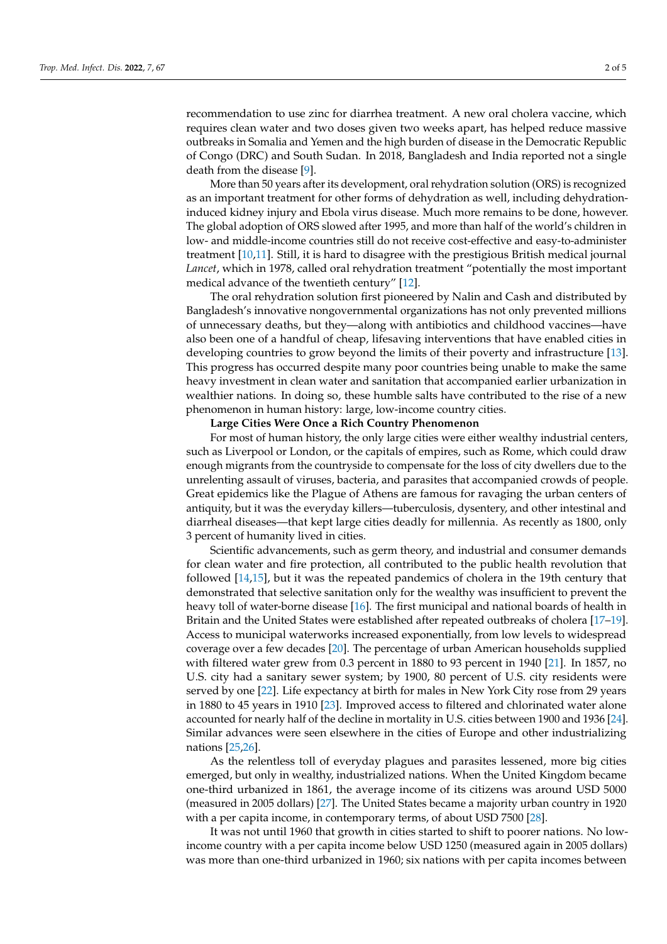recommendation to use zinc for diarrhea treatment. A new oral cholera vaccine, which requires clean water and two doses given two weeks apart, has helped reduce massive outbreaks in Somalia and Yemen and the high burden of disease in the Democratic Republic of Congo (DRC) and South Sudan. In 2018, Bangladesh and India reported not a single death from the disease [\[9\]](#page-3-7).

More than 50 years after its development, oral rehydration solution (ORS) is recognized as an important treatment for other forms of dehydration as well, including dehydrationinduced kidney injury and Ebola virus disease. Much more remains to be done, however. The global adoption of ORS slowed after 1995, and more than half of the world's children in low- and middle-income countries still do not receive cost-effective and easy-to-administer treatment [\[10,](#page-3-8)[11\]](#page-3-9). Still, it is hard to disagree with the prestigious British medical journal *Lancet*, which in 1978, called oral rehydration treatment "potentially the most important medical advance of the twentieth century" [\[12\]](#page-3-10).

The oral rehydration solution first pioneered by Nalin and Cash and distributed by Bangladesh's innovative nongovernmental organizations has not only prevented millions of unnecessary deaths, but they—along with antibiotics and childhood vaccines—have also been one of a handful of cheap, lifesaving interventions that have enabled cities in developing countries to grow beyond the limits of their poverty and infrastructure [\[13\]](#page-3-11). This progress has occurred despite many poor countries being unable to make the same heavy investment in clean water and sanitation that accompanied earlier urbanization in wealthier nations. In doing so, these humble salts have contributed to the rise of a new phenomenon in human history: large, low-income country cities.

### **Large Cities Were Once a Rich Country Phenomenon**

For most of human history, the only large cities were either wealthy industrial centers, such as Liverpool or London, or the capitals of empires, such as Rome, which could draw enough migrants from the countryside to compensate for the loss of city dwellers due to the unrelenting assault of viruses, bacteria, and parasites that accompanied crowds of people. Great epidemics like the Plague of Athens are famous for ravaging the urban centers of antiquity, but it was the everyday killers—tuberculosis, dysentery, and other intestinal and diarrheal diseases—that kept large cities deadly for millennia. As recently as 1800, only 3 percent of humanity lived in cities.

Scientific advancements, such as germ theory, and industrial and consumer demands for clean water and fire protection, all contributed to the public health revolution that followed [\[14](#page-3-12)[,15\]](#page-3-13), but it was the repeated pandemics of cholera in the 19th century that demonstrated that selective sanitation only for the wealthy was insufficient to prevent the heavy toll of water-borne disease [\[16\]](#page-3-14). The first municipal and national boards of health in Britain and the United States were established after repeated outbreaks of cholera [\[17](#page-3-15)[–19\]](#page-3-16). Access to municipal waterworks increased exponentially, from low levels to widespread coverage over a few decades [\[20\]](#page-3-17). The percentage of urban American households supplied with filtered water grew from 0.3 percent in 1880 to 93 percent in 1940 [\[21\]](#page-3-18). In 1857, no U.S. city had a sanitary sewer system; by 1900, 80 percent of U.S. city residents were served by one [\[22\]](#page-3-19). Life expectancy at birth for males in New York City rose from 29 years in 1880 to 45 years in 1910 [\[23\]](#page-4-0). Improved access to filtered and chlorinated water alone accounted for nearly half of the decline in mortality in U.S. cities between 1900 and 1936 [\[24\]](#page-4-1). Similar advances were seen elsewhere in the cities of Europe and other industrializing nations [\[25,](#page-4-2)[26\]](#page-4-3).

As the relentless toll of everyday plagues and parasites lessened, more big cities emerged, but only in wealthy, industrialized nations. When the United Kingdom became one-third urbanized in 1861, the average income of its citizens was around USD 5000 (measured in 2005 dollars) [\[27\]](#page-4-4). The United States became a majority urban country in 1920 with a per capita income, in contemporary terms, of about USD 7500 [\[28\]](#page-4-5).

It was not until 1960 that growth in cities started to shift to poorer nations. No lowincome country with a per capita income below USD 1250 (measured again in 2005 dollars) was more than one-third urbanized in 1960; six nations with per capita incomes between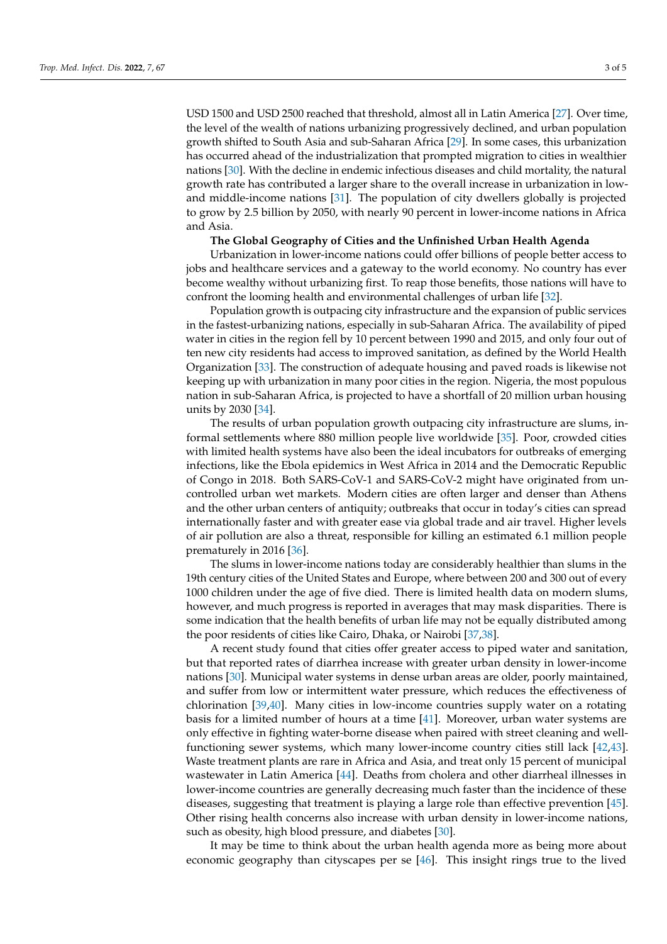USD 1500 and USD 2500 reached that threshold, almost all in Latin America [\[27\]](#page-4-4). Over time, the level of the wealth of nations urbanizing progressively declined, and urban population growth shifted to South Asia and sub-Saharan Africa [\[29\]](#page-4-6). In some cases, this urbanization has occurred ahead of the industrialization that prompted migration to cities in wealthier nations [\[30\]](#page-4-7). With the decline in endemic infectious diseases and child mortality, the natural growth rate has contributed a larger share to the overall increase in urbanization in lowand middle-income nations [\[31\]](#page-4-8). The population of city dwellers globally is projected to grow by 2.5 billion by 2050, with nearly 90 percent in lower-income nations in Africa and Asia.

## **The Global Geography of Cities and the Unfinished Urban Health Agenda**

Urbanization in lower-income nations could offer billions of people better access to jobs and healthcare services and a gateway to the world economy. No country has ever become wealthy without urbanizing first. To reap those benefits, those nations will have to confront the looming health and environmental challenges of urban life [\[32\]](#page-4-9).

Population growth is outpacing city infrastructure and the expansion of public services in the fastest-urbanizing nations, especially in sub-Saharan Africa. The availability of piped water in cities in the region fell by 10 percent between 1990 and 2015, and only four out of ten new city residents had access to improved sanitation, as defined by the World Health Organization [\[33\]](#page-4-10). The construction of adequate housing and paved roads is likewise not keeping up with urbanization in many poor cities in the region. Nigeria, the most populous nation in sub-Saharan Africa, is projected to have a shortfall of 20 million urban housing units by 2030 [\[34\]](#page-4-11).

The results of urban population growth outpacing city infrastructure are slums, informal settlements where 880 million people live worldwide [\[35\]](#page-4-12). Poor, crowded cities with limited health systems have also been the ideal incubators for outbreaks of emerging infections, like the Ebola epidemics in West Africa in 2014 and the Democratic Republic of Congo in 2018. Both SARS-CoV-1 and SARS-CoV-2 might have originated from uncontrolled urban wet markets. Modern cities are often larger and denser than Athens and the other urban centers of antiquity; outbreaks that occur in today's cities can spread internationally faster and with greater ease via global trade and air travel. Higher levels of air pollution are also a threat, responsible for killing an estimated 6.1 million people prematurely in 2016 [\[36\]](#page-4-13).

The slums in lower-income nations today are considerably healthier than slums in the 19th century cities of the United States and Europe, where between 200 and 300 out of every 1000 children under the age of five died. There is limited health data on modern slums, however, and much progress is reported in averages that may mask disparities. There is some indication that the health benefits of urban life may not be equally distributed among the poor residents of cities like Cairo, Dhaka, or Nairobi [\[37,](#page-4-14)[38\]](#page-4-15).

A recent study found that cities offer greater access to piped water and sanitation, but that reported rates of diarrhea increase with greater urban density in lower-income nations [\[30\]](#page-4-7). Municipal water systems in dense urban areas are older, poorly maintained, and suffer from low or intermittent water pressure, which reduces the effectiveness of chlorination [\[39,](#page-4-16)[40\]](#page-4-17). Many cities in low-income countries supply water on a rotating basis for a limited number of hours at a time [\[41\]](#page-4-18). Moreover, urban water systems are only effective in fighting water-borne disease when paired with street cleaning and wellfunctioning sewer systems, which many lower-income country cities still lack [\[42,](#page-4-19)[43\]](#page-4-20). Waste treatment plants are rare in Africa and Asia, and treat only 15 percent of municipal wastewater in Latin America [\[44\]](#page-4-21). Deaths from cholera and other diarrheal illnesses in lower-income countries are generally decreasing much faster than the incidence of these diseases, suggesting that treatment is playing a large role than effective prevention [\[45\]](#page-4-22). Other rising health concerns also increase with urban density in lower-income nations, such as obesity, high blood pressure, and diabetes [\[30\]](#page-4-7).

It may be time to think about the urban health agenda more as being more about economic geography than cityscapes per se [\[46\]](#page-4-23). This insight rings true to the lived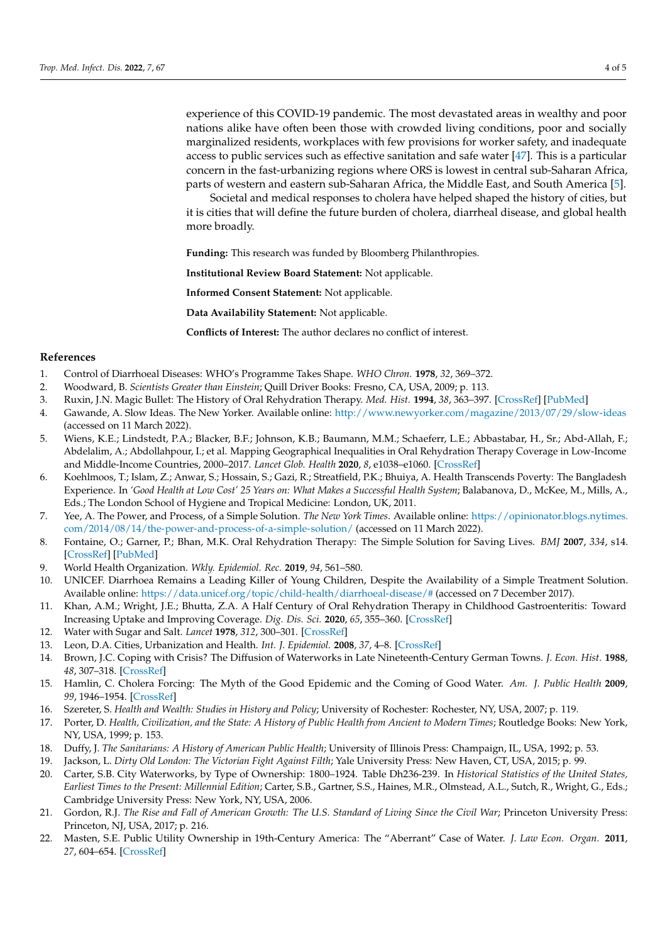experience of this COVID-19 pandemic. The most devastated areas in wealthy and poor nations alike have often been those with crowded living conditions, poor and socially marginalized residents, workplaces with few provisions for worker safety, and inadequate access to public services such as effective sanitation and safe water [\[47\]](#page-4-24). This is a particular concern in the fast-urbanizing regions where ORS is lowest in central sub-Saharan Africa, parts of western and eastern sub-Saharan Africa, the Middle East, and South America [\[5\]](#page-3-3).

Societal and medical responses to cholera have helped shaped the history of cities, but it is cities that will define the future burden of cholera, diarrheal disease, and global health more broadly.

**Funding:** This research was funded by Bloomberg Philanthropies.

**Institutional Review Board Statement:** Not applicable.

**Informed Consent Statement:** Not applicable.

**Data Availability Statement:** Not applicable.

**Conflicts of Interest:** The author declares no conflict of interest.

#### **References**

- <span id="page-3-0"></span>1. Control of Diarrhoeal Diseases: WHO's Programme Takes Shape. *WHO Chron.* **1978**, *32*, 369–372.
- <span id="page-3-1"></span>2. Woodward, B. *Scientists Greater than Einstein*; Quill Driver Books: Fresno, CA, USA, 2009; p. 113.
- <span id="page-3-2"></span>3. Ruxin, J.N. Magic Bullet: The History of Oral Rehydration Therapy. *Med. Hist.* **1994**, *38*, 363–397. [\[CrossRef\]](http://doi.org/10.1017/S0025727300036905) [\[PubMed\]](http://www.ncbi.nlm.nih.gov/pubmed/7808099)
- 4. Gawande, A. Slow Ideas. The New Yorker. Available online: <http://www.newyorker.com/magazine/2013/07/29/slow-ideas> (accessed on 11 March 2022).
- <span id="page-3-3"></span>5. Wiens, K.E.; Lindstedt, P.A.; Blacker, B.F.; Johnson, K.B.; Baumann, M.M.; Schaeferr, L.E.; Abbastabar, H., Sr.; Abd-Allah, F.; Abdelalim, A.; Abdollahpour, I.; et al. Mapping Geographical Inequalities in Oral Rehydration Therapy Coverage in Low-Income and Middle-Income Countries, 2000–2017. *Lancet Glob. Health* **2020**, *8*, e1038–e1060. [\[CrossRef\]](http://doi.org/10.1016/S2214-109X(20)30230-8)
- <span id="page-3-4"></span>6. Koehlmoos, T.; Islam, Z.; Anwar, S.; Hossain, S.; Gazi, R.; Streatfield, P.K.; Bhuiya, A. Health Transcends Poverty: The Bangladesh Experience. In *'Good Health at Low Cost' 25 Years on: What Makes a Successful Health System*; Balabanova, D., McKee, M., Mills, A., Eds.; The London School of Hygiene and Tropical Medicine: London, UK, 2011.
- <span id="page-3-5"></span>7. Yee, A. The Power, and Process, of a Simple Solution. *The New York Times*. Available online: [https://opinionator.blogs.nytimes.](https://opinionator.blogs.nytimes.com/2014/08/14/the-power-and-process-of-a-simple-solution/) [com/2014/08/14/the-power-and-process-of-a-simple-solution/](https://opinionator.blogs.nytimes.com/2014/08/14/the-power-and-process-of-a-simple-solution/) (accessed on 11 March 2022).
- <span id="page-3-6"></span>8. Fontaine, O.; Garner, P.; Bhan, M.K. Oral Rehydration Therapy: The Simple Solution for Saving Lives. *BMJ* **2007**, *334*, s14. [\[CrossRef\]](http://doi.org/10.1136/bmj.39044.725949.94) [\[PubMed\]](http://www.ncbi.nlm.nih.gov/pubmed/17204754)
- <span id="page-3-7"></span>9. World Health Organization. *Wkly. Epidemiol. Rec.* **2019**, *94*, 561–580.
- <span id="page-3-8"></span>10. UNICEF. Diarrhoea Remains a Leading Killer of Young Children, Despite the Availability of a Simple Treatment Solution. Available online: <https://data.unicef.org/topic/child-health/diarrhoeal-disease/#> (accessed on 7 December 2017).
- <span id="page-3-9"></span>11. Khan, A.M.; Wright, J.E.; Bhutta, Z.A. A Half Century of Oral Rehydration Therapy in Childhood Gastroenteritis: Toward Increasing Uptake and Improving Coverage. *Dig. Dis. Sci.* **2020**, *65*, 355–360. [\[CrossRef\]](http://doi.org/10.1007/s10620-019-05921-y)
- <span id="page-3-10"></span>12. Water with Sugar and Salt. *Lancet* **1978**, *312*, 300–301. [\[CrossRef\]](http://doi.org/10.1016/S0140-6736(78)91698-7)
- <span id="page-3-11"></span>13. Leon, D.A. Cities, Urbanization and Health. *Int. J. Epidemiol.* **2008**, *37*, 4–8. [\[CrossRef\]](http://doi.org/10.1093/ije/dym271)
- <span id="page-3-12"></span>14. Brown, J.C. Coping with Crisis? The Diffusion of Waterworks in Late Nineteenth-Century German Towns. *J. Econ. Hist.* **1988**, *48*, 307–318. [\[CrossRef\]](http://doi.org/10.1017/S0022050700004927)
- <span id="page-3-13"></span>15. Hamlin, C. Cholera Forcing: The Myth of the Good Epidemic and the Coming of Good Water. *Am. J. Public Health* **2009**, *99*, 1946–1954. [\[CrossRef\]](http://doi.org/10.2105/AJPH.2009.165688)
- <span id="page-3-14"></span>16. Szereter, S. *Health and Wealth: Studies in History and Policy*; University of Rochester: Rochester, NY, USA, 2007; p. 119.
- <span id="page-3-15"></span>17. Porter, D. *Health, Civilization, and the State: A History of Public Health from Ancient to Modern Times*; Routledge Books: New York, NY, USA, 1999; p. 153.
- 18. Duffy, J. *The Sanitarians: A History of American Public Health*; University of Illinois Press: Champaign, IL, USA, 1992; p. 53.
- <span id="page-3-16"></span>19. Jackson, L. *Dirty Old London: The Victorian Fight Against Filth*; Yale University Press: New Haven, CT, USA, 2015; p. 99.
- <span id="page-3-17"></span>20. Carter, S.B. City Waterworks, by Type of Ownership: 1800–1924. Table Dh236-239. In *Historical Statistics of the United States, Earliest Times to the Present: Millennial Edition*; Carter, S.B., Gartner, S.S., Haines, M.R., Olmstead, A.L., Sutch, R., Wright, G., Eds.; Cambridge University Press: New York, NY, USA, 2006.
- <span id="page-3-18"></span>21. Gordon, R.J. *The Rise and Fall of American Growth: The U.S. Standard of Living Since the Civil War*; Princeton University Press: Princeton, NJ, USA, 2017; p. 216.
- <span id="page-3-19"></span>22. Masten, S.E. Public Utility Ownership in 19th-Century America: The "Aberrant" Case of Water. *J. Law Econ. Organ.* **2011**, *27*, 604–654. [\[CrossRef\]](http://doi.org/10.1093/jleo/ewp041)